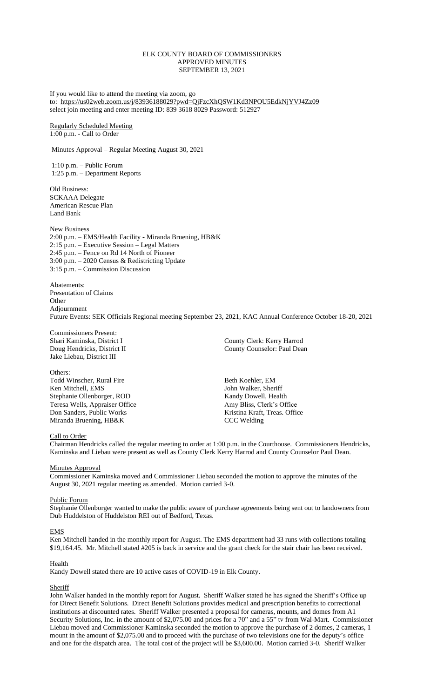# ELK COUNTY BOARD OF COMMISSIONERS APPROVED MINUTES SEPTEMBER 13, 2021

If you would like to attend the meeting via zoom, go to: <https://us02web.zoom.us/j/83936188029?pwd=QjFzcXhQSW1Kd3NPOU5EdkNjYVJ4Zz09> select join meeting and enter meeting ID: 839 3618 8029 Password: 512927

Regularly Scheduled Meeting 1:00 p.m. - Call to Order

Minutes Approval – Regular Meeting August 30, 2021

1:10 p.m. – Public Forum 1:25 p.m. – Department Reports

Old Business: SCKAAA Delegate American Rescue Plan Land Bank

New Business 2:00 p.m. – EMS/Health Facility - Miranda Bruening, HB&K 2:15 p.m. – Executive Session – Legal Matters 2:45 p.m. – Fence on Rd 14 North of Pioneer 3:00 p.m. – 2020 Census & Redistricting Update 3:15 p.m. – Commission Discussion

Abatements: Presentation of Claims **Other** Adjournment Future Events: SEK Officials Regional meeting September 23, 2021, KAC Annual Conference October 18-20, 2021

Commissioners Present: Jake Liebau, District III

Others: Todd Winscher, Rural Fire Beth Koehler, EM Ken Mitchell, EMS John Walker, Sheriff Stephanie Ollenborger, ROD Kandy Dowell, Health Teresa Wells, Appraiser Office Amy Bliss, Clerk's Office<br>
Don Sanders, Public Works Kristina Kraft, Treas. Office Miranda Bruening, HB&K CCC Welding

Shari Kaminska, District I County Clerk: Kerry Harrod Doug Hendricks, District II County Counselor: Paul Dean

Kristina Kraft, Treas. Office

# Call to Order

Chairman Hendricks called the regular meeting to order at 1:00 p.m. in the Courthouse. Commissioners Hendricks, Kaminska and Liebau were present as well as County Clerk Kerry Harrod and County Counselor Paul Dean.

# **Minutes Approval**

Commissioner Kaminska moved and Commissioner Liebau seconded the motion to approve the minutes of the August 30, 2021 regular meeting as amended. Motion carried 3-0.

# Public Forum

Stephanie Ollenborger wanted to make the public aware of purchase agreements being sent out to landowners from Dub Huddelston of Huddelston REI out of Bedford, Texas.

# EMS

Ken Mitchell handed in the monthly report for August. The EMS department had 33 runs with collections totaling \$19,164.45. Mr. Mitchell stated #205 is back in service and the grant check for the stair chair has been received.

# Health

Kandy Dowell stated there are 10 active cases of COVID-19 in Elk County.

# **Sheriff**

John Walker handed in the monthly report for August. Sheriff Walker stated he has signed the Sheriff's Office up for Direct Benefit Solutions. Direct Benefit Solutions provides medical and prescription benefits to correctional institutions at discounted rates. Sheriff Walker presented a proposal for cameras, mounts, and domes from A1 Security Solutions, Inc. in the amount of \$2,075.00 and prices for a 70" and a 55" tv from Wal-Mart. Commissioner Liebau moved and Commissioner Kaminska seconded the motion to approve the purchase of 2 domes, 2 cameras, 1 mount in the amount of \$2,075.00 and to proceed with the purchase of two televisions one for the deputy's office and one for the dispatch area. The total cost of the project will be \$3,600.00. Motion carried 3-0. Sheriff Walker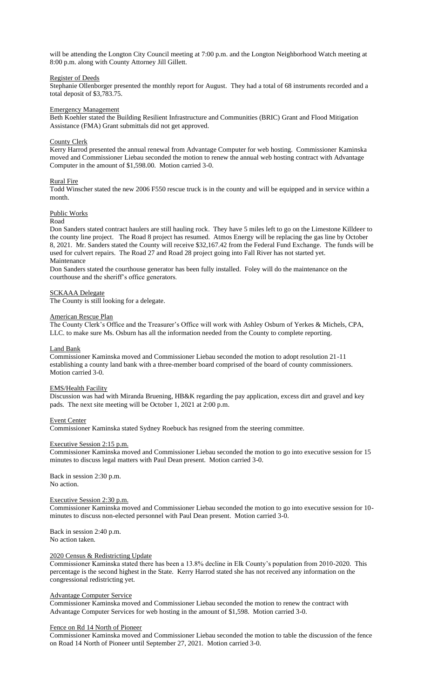will be attending the Longton City Council meeting at 7:00 p.m. and the Longton Neighborhood Watch meeting at 8:00 p.m. along with County Attorney Jill Gillett.

# Register of Deeds

Stephanie Ollenborger presented the monthly report for August. They had a total of 68 instruments recorded and a total deposit of \$3,783.75.

# Emergency Management

Beth Koehler stated the Building Resilient Infrastructure and Communities (BRIC) Grant and Flood Mitigation Assistance (FMA) Grant submittals did not get approved.

# County Clerk

Kerry Harrod presented the annual renewal from Advantage Computer for web hosting. Commissioner Kaminska moved and Commissioner Liebau seconded the motion to renew the annual web hosting contract with Advantage Computer in the amount of \$1,598.00. Motion carried 3-0.

# Rural Fire

Todd Winscher stated the new 2006 F550 rescue truck is in the county and will be equipped and in service within a month.

# Public Works

#### Road

Don Sanders stated contract haulers are still hauling rock. They have 5 miles left to go on the Limestone Killdeer to the county line project. The Road 8 project has resumed. Atmos Energy will be replacing the gas line by October 8, 2021. Mr. Sanders stated the County will receive \$32,167.42 from the Federal Fund Exchange. The funds will be used for culvert repairs. The Road 27 and Road 28 project going into Fall River has not started yet. Maintenance

Don Sanders stated the courthouse generator has been fully installed. Foley will do the maintenance on the courthouse and the sheriff's office generators.

# SCKAAA Delegate

The County is still looking for a delegate.

#### American Rescue Plan

The County Clerk's Office and the Treasurer's Office will work with Ashley Osburn of Yerkes & Michels, CPA, LLC. to make sure Ms. Osburn has all the information needed from the County to complete reporting.

# Land Bank

Commissioner Kaminska moved and Commissioner Liebau seconded the motion to adopt resolution 21-11 establishing a county land bank with a three-member board comprised of the board of county commissioners. Motion carried 3-0.

# EMS/Health Facility

Discussion was had with Miranda Bruening, HB&K regarding the pay application, excess dirt and gravel and key pads. The next site meeting will be October 1, 2021 at 2:00 p.m.

# Event Center

Commissioner Kaminska stated Sydney Roebuck has resigned from the steering committee.

# Executive Session 2:15 p.m.

Commissioner Kaminska moved and Commissioner Liebau seconded the motion to go into executive session for 15 minutes to discuss legal matters with Paul Dean present. Motion carried 3-0.

Back in session 2:30 p.m. No action.

# Executive Session 2:30 p.m.

Commissioner Kaminska moved and Commissioner Liebau seconded the motion to go into executive session for 10 minutes to discuss non-elected personnel with Paul Dean present. Motion carried 3-0.

Back in session 2:40 p.m. No action taken.

# 2020 Census & Redistricting Update

Commissioner Kaminska stated there has been a 13.8% decline in Elk County's population from 2010-2020. This percentage is the second highest in the State. Kerry Harrod stated she has not received any information on the congressional redistricting yet.

# Advantage Computer Service

Commissioner Kaminska moved and Commissioner Liebau seconded the motion to renew the contract with Advantage Computer Services for web hosting in the amount of \$1,598. Motion carried 3-0.

# Fence on Rd 14 North of Pioneer

Commissioner Kaminska moved and Commissioner Liebau seconded the motion to table the discussion of the fence on Road 14 North of Pioneer until September 27, 2021. Motion carried 3-0.